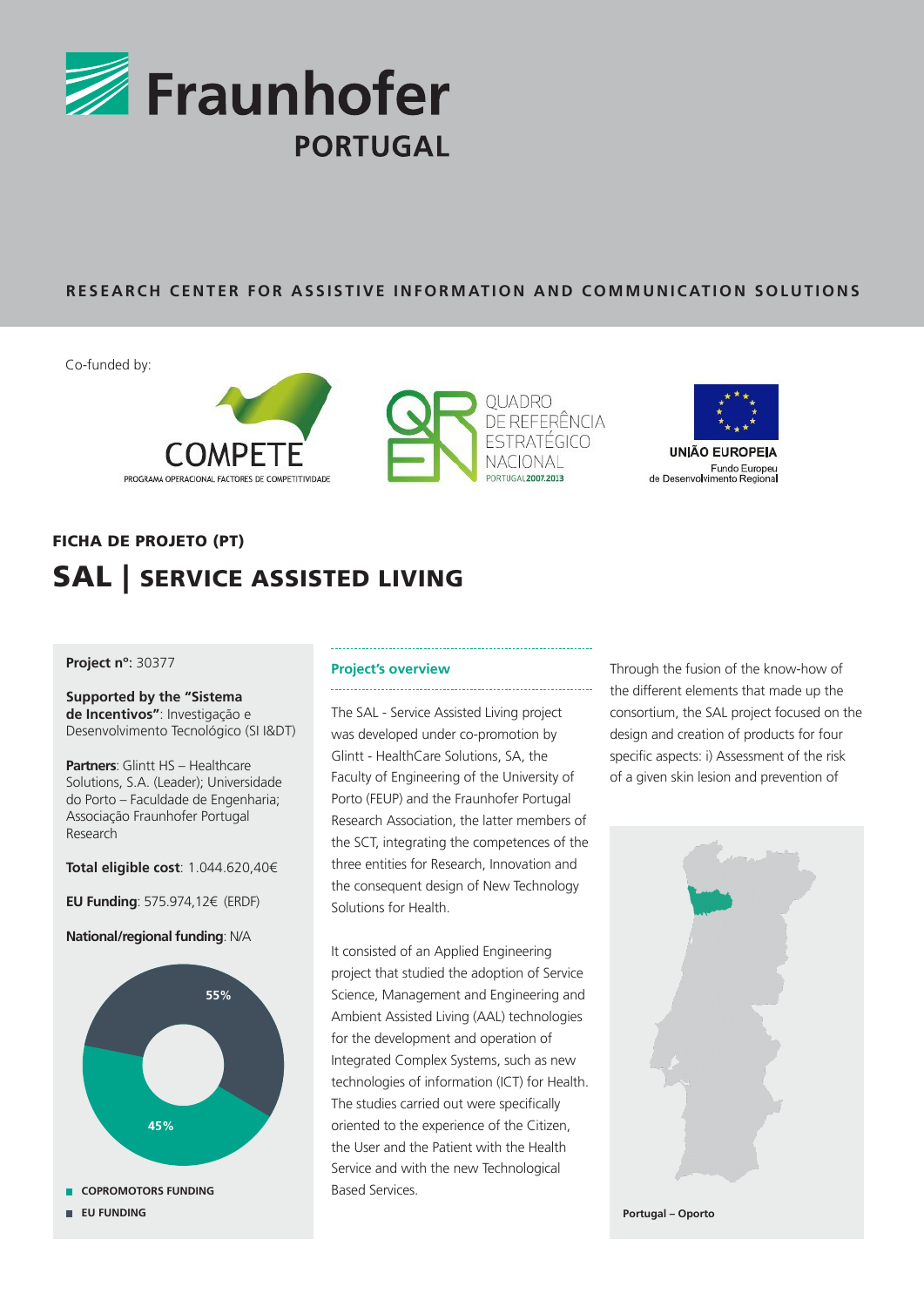

### **RESEARCH CENTER FOR ASSISTIVE INFORMATION AND COMMUNICATION SOLUTIONS**

Co-funded by:





## Fundo Europeu<br>de Desenvolvimento Regional

# FICHA DE PROJETO (PT) SAL | SERVICE ASSISTED LIVING

### **Project nº**: 30377

**Supported by the "Sistema de Incentivos"**: Investigação e Desenvolvimento Tecnológico (SI I&DT)

**Partners**: Glintt HS – Healthcare Solutions, S.A. (Leader); Universidade do Porto – Faculdade de Engenharia; Associação Fraunhofer Portugal Research

**Total eligible cost**: 1.044.620,40€

**EU Funding**: 575.974,12€ (ERDF)

**National/regional funding**: N/A



#### **Project's overview**

The SAL - Service Assisted Living project was developed under co-promotion by Glintt - HealthCare Solutions, SA, the Faculty of Engineering of the University of Porto (FEUP) and the Fraunhofer Portugal Research Association, the latter members of the SCT, integrating the competences of the three entities for Research, Innovation and the consequent design of New Technology Solutions for Health.

It consisted of an Applied Engineering project that studied the adoption of Service Science, Management and Engineering and Ambient Assisted Living (AAL) technologies for the development and operation of Integrated Complex Systems, such as new technologies of information (ICT) for Health. The studies carried out were specifically oriented to the experience of the Citizen, the User and the Patient with the Health Service and with the new Technological Based Services.

Through the fusion of the know-how of the different elements that made up the consortium, the SAL project focused on the design and creation of products for four specific aspects: i) Assessment of the risk of a given skin lesion and prevention of



**Portugal – Oporto**